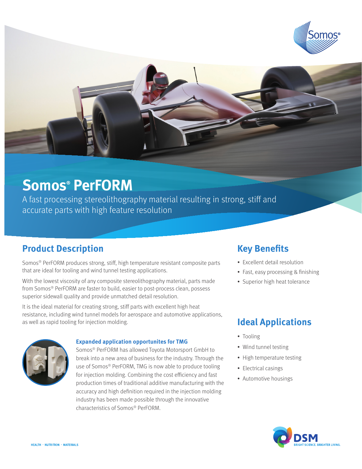

# **Somos® PerFORM**

A fast processing stereolithography material resulting in strong, stiff and accurate parts with high feature resolution

### **Product Description**

Somos® PerFORM produces strong, stiff, high temperature resistant composite parts that are ideal for tooling and wind tunnel testing applications.

With the lowest viscosity of any composite stereolithography material, parts made from Somos® PerFORM are faster to build, easier to post-process clean, possess superior sidewall quality and provide unmatched detail resolution.

It is the ideal material for creating strong, stiff parts with excellent high heat resistance, including wind tunnel models for aerospace and automotive applications, as well as rapid tooling for injection molding.



#### **Expanded application opportunites for TMG**

Somos® PerFORM has allowed Toyota Motorsport GmbH to break into a new area of business for the industry. Through the use of Somos® PerFORM, TMG is now able to produce tooling for injection molding. Combining the cost efficiency and fast production times of traditional additive manufacturing with the accuracy and high definition required in the injection molding industry has been made possible through the innovative characteristics of Somos® PerFORM.

### **Key Benefits**

- Excellent detail resolution
- Fast, easy processing & finishing
- Superior high heat tolerance

### **Ideal Applications**

- Tooling
- Wind tunnel testing
- High temperature testing
- Electrical casings
- Automotive housings